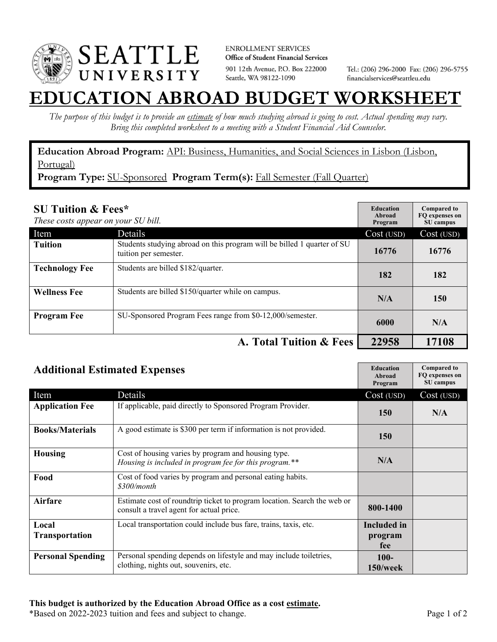

**ENROLLMENT SERVICES** Office of Student Financial Services 901 12th Avenue, P.O. Box 222000 Seattle, WA 98122-1090

Tel.: (206) 296-2000 Fax: (206) 296-5755 financialservices@seattleu.edu

## **EATION ABROAD BUDGET WORKSHEE**

*The purpose of this budget is to provide an estimate of how much studying abroad is going to cost. Actual spending may vary. Bring this completed worksheet to a meeting with a Student Financial Aid Counselor.* 

**Education Abroad Program:** API: Business, Humanities, and Social Sciences in Lisbon (Lisbon, Portugal)

Program Type: SU-Sponsored Program Term(s): Fall Semester (Fall Quarter)

| <b>SU Tuition &amp; Fees*</b><br>These costs appear on your SU bill. |                                                                                                  | <b>Education</b><br>Abroad<br>Program | <b>Compared to</b><br>FO expenses on<br>SU campus |
|----------------------------------------------------------------------|--------------------------------------------------------------------------------------------------|---------------------------------------|---------------------------------------------------|
| Item                                                                 | Details                                                                                          | Cost (USD)                            | Cost (USD)                                        |
| <b>Tuition</b>                                                       | Students studying abroad on this program will be billed 1 quarter of SU<br>tuition per semester. | 16776                                 | 16776                                             |
| <b>Technology Fee</b>                                                | Students are billed \$182/quarter.                                                               | 182                                   | 182                                               |
| <b>Wellness Fee</b>                                                  | Students are billed \$150/quarter while on campus.                                               | N/A                                   | 150                                               |
| <b>Program Fee</b>                                                   | SU-Sponsored Program Fees range from \$0-12,000/semester.                                        | 6000                                  | N/A                                               |
|                                                                      | A. Total Tuition & Fees                                                                          | 22958                                 | 17108                                             |

| <b>Additional Estimated Expenses</b> |                                                                                                                      | <b>Education</b><br>Abroad<br>Program | <b>Compared to</b><br>FQ expenses on<br>SU campus |
|--------------------------------------|----------------------------------------------------------------------------------------------------------------------|---------------------------------------|---------------------------------------------------|
| Item                                 | Details                                                                                                              | Cost (USD)                            | Cost (USD)                                        |
| <b>Application Fee</b>               | If applicable, paid directly to Sponsored Program Provider.                                                          | <b>150</b>                            | N/A                                               |
| <b>Books/Materials</b>               | A good estimate is \$300 per term if information is not provided.                                                    | <b>150</b>                            |                                                   |
| Housing                              | Cost of housing varies by program and housing type.<br>Housing is included in program fee for this program.**        | N/A                                   |                                                   |
| Food                                 | Cost of food varies by program and personal eating habits.<br>\$300/month                                            |                                       |                                                   |
| Airfare                              | Estimate cost of roundtrip ticket to program location. Search the web or<br>consult a travel agent for actual price. | 800-1400                              |                                                   |
| Local<br>Transportation              | Local transportation could include bus fare, trains, taxis, etc.                                                     | <b>Included in</b><br>program<br>fee  |                                                   |
| <b>Personal Spending</b>             | Personal spending depends on lifestyle and may include toiletries,<br>clothing, nights out, souvenirs, etc.          | $100 -$<br>$150$ /week                |                                                   |

\*Based on 2022-2023 tuition and fees and subject to change. Page 1 of 2